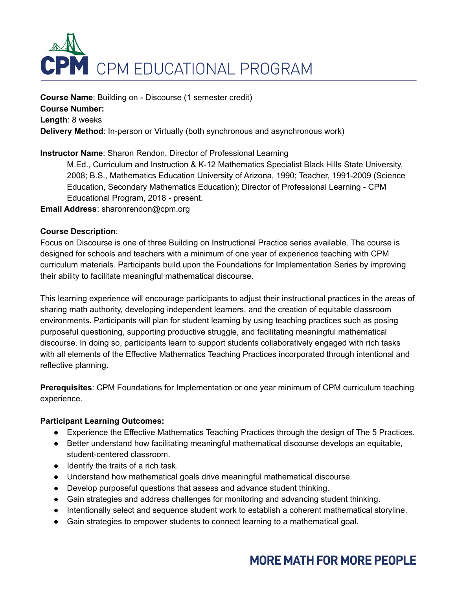

**Course Name**: Building on - Discourse (1 semester credit) **Course Number: Length**: 8 weeks **Delivery Method**: In-person or Virtually (both synchronous and asynchronous work)

## **Instructor Name**: Sharon Rendon, Director of Professional Learning

M.Ed., Curriculum and Instruction & K-12 Mathematics Specialist Black Hills State University, 2008; B.S., Mathematics Education University of Arizona, 1990; Teacher, 1991-2009 (Science Education, Secondary Mathematics Education); Director of Professional Learning - CPM Educational Program, 2018 - present.

**Email Address**: sharonrendon@cpm.org

#### **Course Description**:

Focus on Discourse is one of three Building on Instructional Practice series available. The course is designed for schools and teachers with a minimum of one year of experience teaching with CPM curriculum materials. Participants build upon the Foundations for Implementation Series by improving their ability to facilitate meaningful mathematical discourse.

This learning experience will encourage participants to adjust their instructional practices in the areas of sharing math authority, developing independent learners, and the creation of equitable classroom environments. Participants will plan for student learning by using teaching practices such as posing purposeful questioning, supporting productive struggle, and facilitating meaningful mathematical discourse. In doing so, participants learn to support students collaboratively engaged with rich tasks with all elements of the Effective Mathematics Teaching Practices incorporated through intentional and reflective planning.

**Prerequisites**: CPM Foundations for Implementation or one year minimum of CPM curriculum teaching experience.

#### **Participant Learning Outcomes:**

- Experience the Effective Mathematics Teaching Practices through the design of The 5 Practices.
- Better understand how facilitating meaningful mathematical discourse develops an equitable, student-centered classroom.
- Identify the traits of a rich task.
- Understand how mathematical goals drive meaningful mathematical discourse.
- Develop purposeful questions that assess and advance student thinking.
- Gain strategies and address challenges for monitoring and advancing student thinking.
- Intentionally select and sequence student work to establish a coherent mathematical storyline.
- Gain strategies to empower students to connect learning to a mathematical goal.

# **MORE MATH FOR MORE PEOPLE**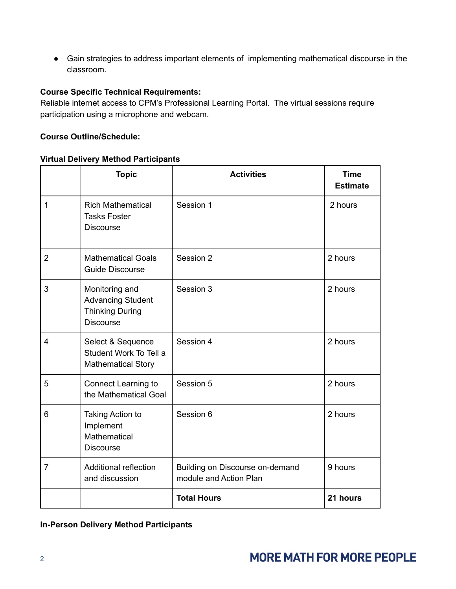● Gain strategies to address important elements of implementing mathematical discourse in the classroom.

#### **Course Specific Technical Requirements:**

Reliable internet access to CPM's Professional Learning Portal. The virtual sessions require participation using a microphone and webcam.

#### **Course Outline/Schedule:**

#### **Virtual Delivery Method Participants**

|                | <b>Topic</b>                                                                             | <b>Activities</b>                                         | <b>Time</b><br><b>Estimate</b> |
|----------------|------------------------------------------------------------------------------------------|-----------------------------------------------------------|--------------------------------|
| $\mathbf{1}$   | <b>Rich Mathematical</b><br><b>Tasks Foster</b><br><b>Discourse</b>                      | Session 1                                                 | 2 hours                        |
| $\overline{2}$ | <b>Mathematical Goals</b><br><b>Guide Discourse</b>                                      | Session 2                                                 | 2 hours                        |
| 3              | Monitoring and<br><b>Advancing Student</b><br><b>Thinking During</b><br><b>Discourse</b> | Session 3                                                 | 2 hours                        |
| $\overline{4}$ | Select & Sequence<br>Student Work To Tell a<br><b>Mathematical Story</b>                 | Session 4                                                 | 2 hours                        |
| 5              | <b>Connect Learning to</b><br>the Mathematical Goal                                      | Session 5                                                 | 2 hours                        |
| 6              | Taking Action to<br>Implement<br>Mathematical<br><b>Discourse</b>                        | Session 6                                                 | 2 hours                        |
| $\overline{7}$ | Additional reflection<br>and discussion                                                  | Building on Discourse on-demand<br>module and Action Plan | 9 hours                        |
|                |                                                                                          | <b>Total Hours</b>                                        | 21 hours                       |

#### **In-Person Delivery Method Participants**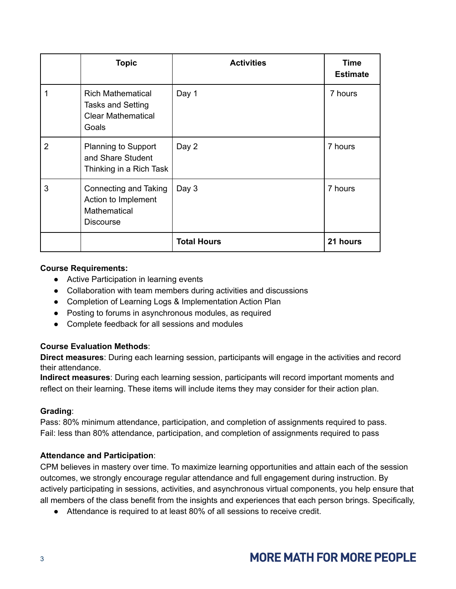|                | <b>Topic</b>                                                                               | <b>Activities</b>  | Time<br><b>Estimate</b> |
|----------------|--------------------------------------------------------------------------------------------|--------------------|-------------------------|
|                | <b>Rich Mathematical</b><br><b>Tasks and Setting</b><br><b>Clear Mathematical</b><br>Goals | Day 1              | 7 hours                 |
| $\overline{2}$ | <b>Planning to Support</b><br>and Share Student<br>Thinking in a Rich Task                 | Day 2              | 7 hours                 |
| 3              | Connecting and Taking<br>Action to Implement<br>Mathematical<br><b>Discourse</b>           | Day 3              | 7 hours                 |
|                |                                                                                            | <b>Total Hours</b> | 21 hours                |

#### **Course Requirements:**

- Active Participation in learning events
- Collaboration with team members during activities and discussions
- Completion of Learning Logs & Implementation Action Plan
- Posting to forums in asynchronous modules, as required
- Complete feedback for all sessions and modules

## **Course Evaluation Methods**:

**Direct measures**: During each learning session, participants will engage in the activities and record their attendance.

**Indirect measures**: During each learning session, participants will record important moments and reflect on their learning. These items will include items they may consider for their action plan.

## **Grading**:

Pass: 80% minimum attendance, participation, and completion of assignments required to pass. Fail: less than 80% attendance, participation, and completion of assignments required to pass

## **Attendance and Participation**:

CPM believes in mastery over time. To maximize learning opportunities and attain each of the session outcomes, we strongly encourage regular attendance and full engagement during instruction. By actively participating in sessions, activities, and asynchronous virtual components, you help ensure that all members of the class benefit from the insights and experiences that each person brings. Specifically,

● Attendance is required to at least 80% of all sessions to receive credit.